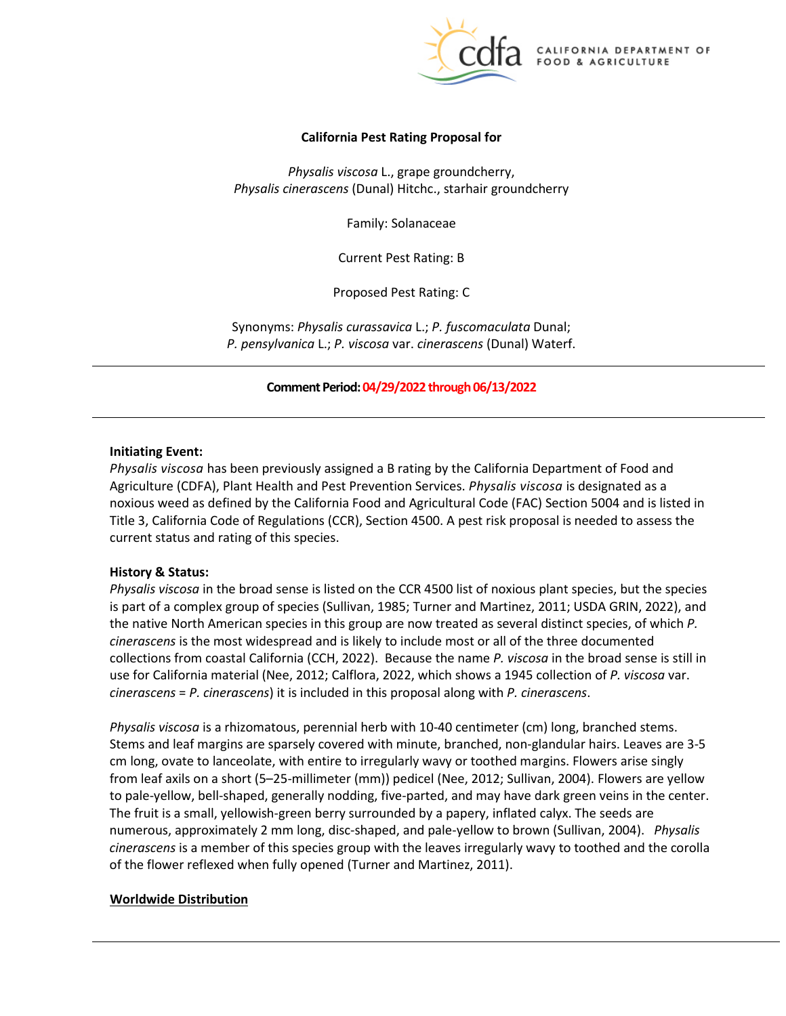

CALIFORNIA DEPARTMENT OF FOOD & AGRICULTURE

#### **California Pest Rating Proposal for**

*Physalis viscosa* L., grape groundcherry, *Physalis cinerascens* (Dunal) Hitchc., starhair groundcherry

Family: Solanaceae

Current Pest Rating: B

Proposed Pest Rating: C

 Synonyms: *Physalis curassavica* L.; *P. fuscomaculata* Dunal;  *P. pensylvanica* L.; *P. viscosa* var. *cinerascens* (Dunal) Waterf.

#### **Comment Period: 04/29/2022 through 06/13/2022**

#### **Initiating Event:**

 *Physalis viscosa* has been previously assigned a B rating by the California Department of Food and Agriculture (CDFA), Plant Health and Pest Prevention Services. *Physalis viscosa* is designated as a noxious weed as defined by the California Food and Agricultural Code (FAC) Section 5004 and is listed in Title 3, California Code of Regulations (CCR), Section 4500. A pest risk proposal is needed to assess the current status and rating of this species.

#### **History & Status:**

 is part of a complex group of species (Sullivan, 1985; Turner and Martinez, 2011; USDA GRIN, 2022), and the native North American species in this group are now treated as several distinct species, of which *P.*  use for California material (Nee, 2012; Calflora, 2022, which shows a 1945 collection of *P. viscosa* var. *cinerascens* = *P. cinerascens*) it is included in this proposal along with *P. cinerascens*. *Physalis viscosa* in the broad sense is listed on the CCR 4500 list of noxious plant species, but the species *cinerascens* is the most widespread and is likely to include most or all of the three documented collections from coastal California (CCH, 2022). Because the name *P. viscosa* in the broad sense is still in

 Stems and leaf margins are sparsely covered with minute, branched, non-glandular hairs. Leaves are 3-5 cm long, ovate to lanceolate, with entire to irregularly wavy or toothed margins. Flowers arise singly numerous, approximately 2 mm long, disc-shaped, and pale-yellow to brown (Sullivan, 2004). *Physalis cinerascens* is a member of this species group with the leaves irregularly wavy to toothed and the corolla of the flower reflexed when fully opened (Turner and Martinez, 2011). *Physalis viscosa* is a rhizomatous, perennial herb with 10-40 centimeter (cm) long, branched stems. from leaf axils on a short (5–25-millimeter (mm)) pedicel (Nee, 2012; Sullivan, 2004). Flowers are yellow to pale-yellow, bell-shaped, generally nodding, five-parted, and may have dark green veins in the center. The fruit is a small, yellowish-green berry surrounded by a papery, inflated calyx. The seeds are

#### **Worldwide Distribution**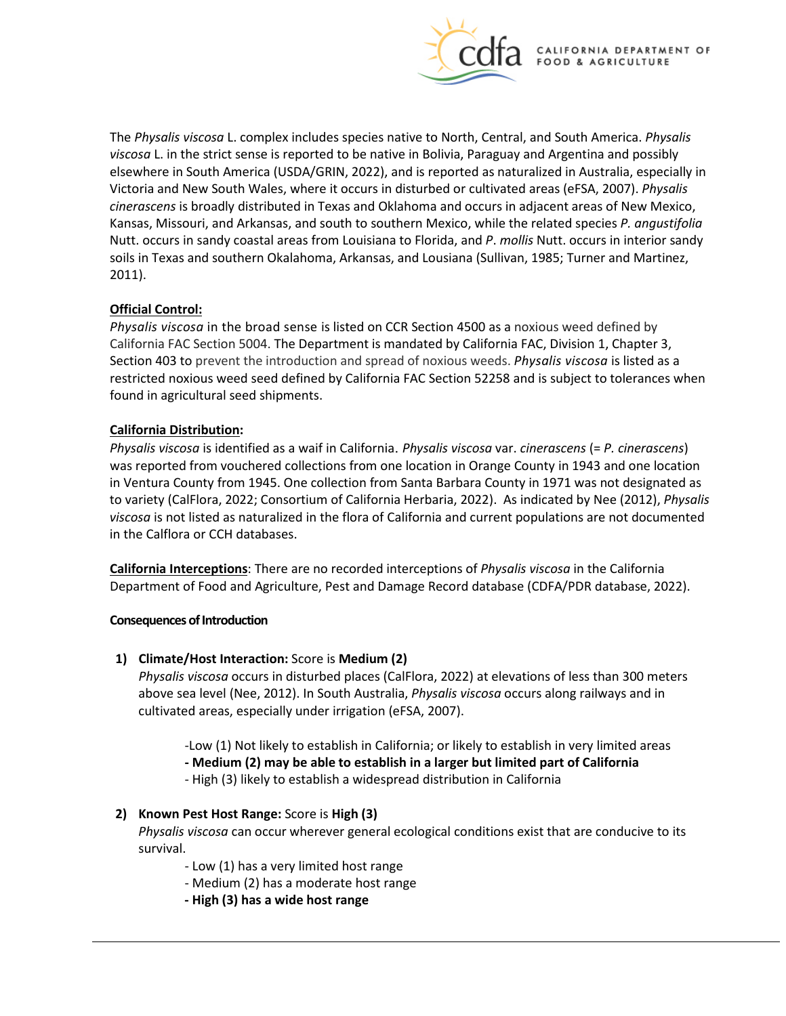

 *cinerascens* is broadly distributed in Texas and Oklahoma and occurs in adjacent areas of New Mexico, Kansas, Missouri, and Arkansas, and south to southern Mexico, while the related species *P. angustifolia*  The *Physalis viscosa* L. complex includes species native to North, Central, and South America. *Physalis viscosa* L. in the strict sense is reported to be native in Bolivia, Paraguay and Argentina and possibly elsewhere in South America (USDA/GRIN, 2022), and is reported as naturalized in Australia, especially in Victoria and New South Wales, where it occurs in disturbed or cultivated areas (eFSA, 2007). *Physalis*  Nutt. occurs in sandy coastal areas from Louisiana to Florida, and *P*. *mollis* Nutt. occurs in interior sandy soils in Texas and southern Okalahoma, Arkansas, and Lousiana (Sullivan, 1985; Turner and Martinez, 2011).

## **Official Control:**

 *Physalis viscosa* in the broad sense is listed on CCR Section 4500 as a noxious weed defined by Section 403 to prevent the introduction and spread of noxious weeds. *Physalis viscosa* is listed as a restricted noxious weed seed defined by California FAC Section 52258 and is subject to tolerances when California FAC Section 5004. The Department is mandated by California FAC, Division 1, Chapter 3, found in agricultural seed shipments.

# **California Distribution:**

 was reported from vouchered collections from one location in Orange County in 1943 and one location in Ventura County from 1945. One collection from Santa Barbara County in 1971 was not designated as to variety (CalFlora, 2022; Consortium of California Herbaria, 2022). As indicated by Nee (2012), *Physalis viscosa* is not listed as naturalized in the flora of California and current populations are not documented *Physalis viscosa* is identified as a waif in California. *Physalis viscosa* var. *cinerascens* (= *P. cinerascens*) in the Calflora or CCH databases.

**California Interceptions**: There are no recorded interceptions of *Physalis viscosa* in the California Department of Food and Agriculture, Pest and Damage Record database (CDFA/PDR database, 2022).

#### **Consequences of Introduction**

# **1) Climate/Host Interaction:** Score is **Medium (2)**

 *Physalis viscosa* occurs in disturbed places (CalFlora, 2022) at elevations of less than 300 meters above sea level (Nee, 2012). In South Australia, *Physalis viscosa* occurs along railways and in cultivated areas, especially under irrigation (eFSA, 2007).

- -Low (1) Not likely to establish in California; or likely to establish in very limited areas
- **- Medium (2) may be able to establish in a larger but limited part of California**
- High (3) likely to establish a widespread distribution in California

# **2) Known Pest Host Range:** Score is **High (3)**

*Physalis viscosa* can occur wherever general ecological conditions exist that are conducive to its survival.

- Low (1) has a very limited host range
- Medium (2) has a moderate host range
- **- High (3) has a wide host range**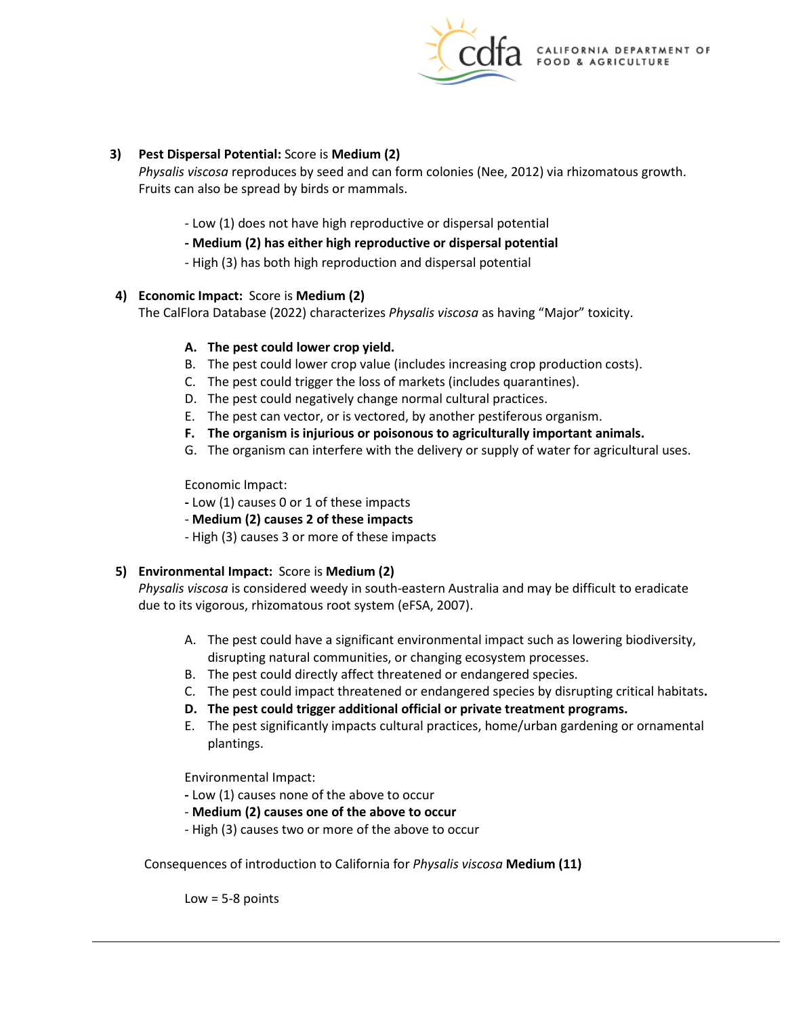

## **3) Pest Dispersal Potential:** Score is **Medium (2)**

 *Physalis viscosa* reproduces by seed and can form colonies (Nee, 2012) via rhizomatous growth. Fruits can also be spread by birds or mammals.

- Low (1) does not have high reproductive or dispersal potential
- **- Medium (2) has either high reproductive or dispersal potential**
- High (3) has both high reproduction and dispersal potential

## **4) Economic Impact:** Score is **Medium (2)**

The CalFlora Database (2022) characterizes *Physalis viscosa* as having "Major" toxicity.

## **A. The pest could lower crop yield.**

- B. The pest could lower crop value (includes increasing crop production costs).
- C. The pest could trigger the loss of markets (includes quarantines).
- D. The pest could negatively change normal cultural practices.
- E. The pest can vector, or is vectored, by another pestiferous organism.
- **F. The organism is injurious or poisonous to agriculturally important animals.**
- G. The organism can interfere with the delivery or supply of water for agricultural uses.

Economic Impact:

- **-** Low (1) causes 0 or 1 of these impacts
- **Medium (2) causes 2 of these impacts**
- High (3) causes 3 or more of these impacts
- **5) Environmental Impact:** Score is **Medium (2)**

*Physalis viscosa* is considered weedy in south-eastern Australia and may be difficult to eradicate due to its vigorous, rhizomatous root system (eFSA, 2007).

- A. The pest could have a significant environmental impact such as lowering biodiversity, disrupting natural communities, or changing ecosystem processes.
- B. The pest could directly affect threatened or endangered species.
- C. The pest could impact threatened or endangered species by disrupting critical habitats**. D. The pest could trigger additional official or private treatment programs.**
- 
- E. The pest significantly impacts cultural practices, home/urban gardening or ornamental plantings.

Environmental Impact:

- **-** Low (1) causes none of the above to occur
- **Medium (2) causes one of the above to occur**
- High (3) causes two or more of the above to occur

 Consequences of introduction to California for *Physalis viscosa* **Medium (11)** 

Low = 5-8 points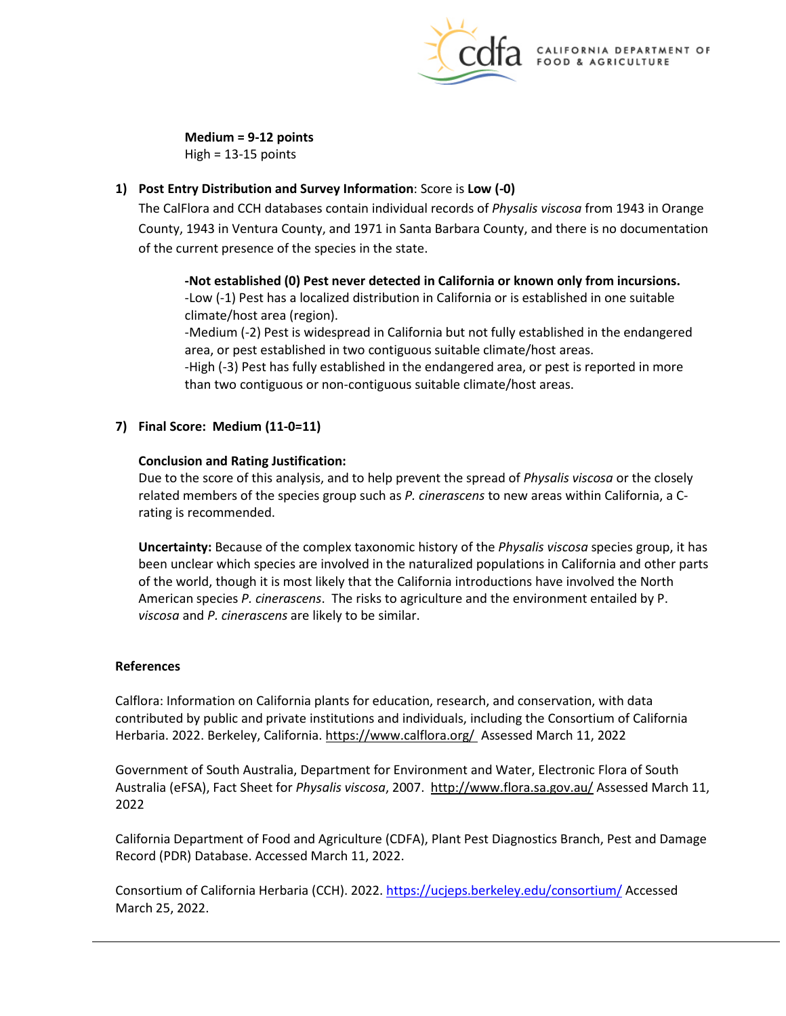

**Medium = 9-12 points**  High = 13-15 points

# **1) Post Entry Distribution and Survey Information**: Score is **Low (-0)**

 The CalFlora and CCH databases contain individual records of *Physalis viscosa* from 1943 in Orange County, 1943 in Ventura County, and 1971 in Santa Barbara County, and there is no documentation of the current presence of the species in the state.

# **-Not established (0) Pest never detected in California or known only from incursions.**

-Low (-1) Pest has a localized distribution in California or is established in one suitable climate/host area (region).

-Medium (-2) Pest is widespread in California but not fully established in the endangered area, or pest established in two contiguous suitable climate/host areas.

 than two contiguous or non-contiguous suitable climate/host areas. -High (-3) Pest has fully established in the endangered area, or pest is reported in more

# **7) Final Score: Medium (11-0=11)**

## **Conclusion and Rating Justification:**

 Due to the score of this analysis, and to help prevent the spread of *Physalis viscosa* or the closely related members of the species group such as *P. cinerascens* to new areas within California, a Crating is recommended.

 American species *P. cinerascens*. The risks to agriculture and the environment entailed by P. *viscosa* and *P. cinerascens* are likely to be similar. **Uncertainty:** Because of the complex taxonomic history of the *Physalis viscosa* species group, it has been unclear which species are involved in the naturalized populations in California and other parts of the world, though it is most likely that the California introductions have involved the North

#### **References**

[Herbaria.](http://ucjeps.berkeley.edu/consortium/about.html) 2022. Berkeley, California. https://www.calflora.org/\_Assessed March 11, 2022 [Calflora:](https://www.calflora.org/) Information on California plants for education, research, and conservation, with data contributed by public and private institutions and individuals, including the [Consortium of California](http://ucjeps.berkeley.edu/consortium/about.html) 

Government of South Australia, Department for Environment and Water, Electronic Flora of South Australia (eFSA), Fact Sheet for *Physalis viscosa*, 2007. [http://www.flora.sa.gov.au/ A](http://www.flora.sa.gov.au/)ssessed March 11, 2022

 California Department of Food and Agriculture (CDFA), Plant Pest Diagnostics Branch, Pest and Damage Record (PDR) Database. Accessed March 11, 2022.

Consortium of California Herbaria (CCH). 2022.<https://ucjeps.berkeley.edu/consortium/>Accessed March 25, 2022.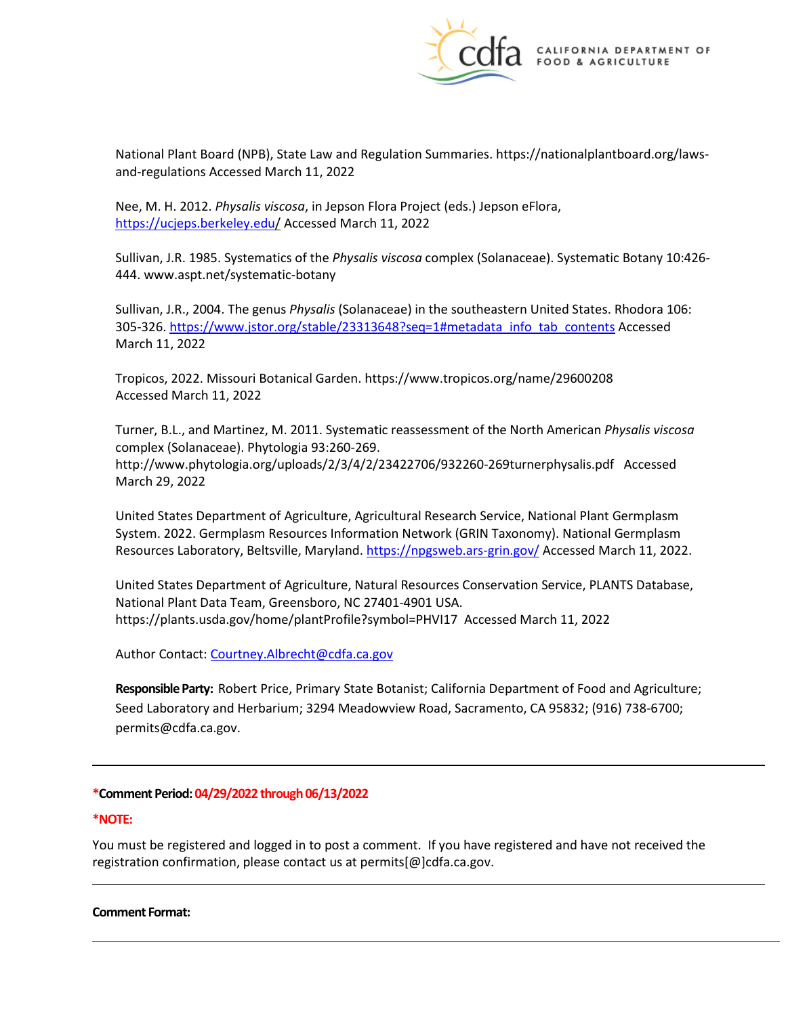

National Plant Board (NPB), State Law and Regulation Summaries. <https://nationalplantboard.org/laws>and-regulations Accessed March 11, 2022

Nee, M. H. 2012. *Physalis viscosa*, in Jepson Flora Project (eds.) Jepson eFlora, <https://ucjeps.berkeley.edu/> Accessed March 11, 2022

 Sullivan, J.R. 1985. Systematics of the *Physalis viscosa* complex (Solanaceae). Systematic Botany 10:426- 444.<www.aspt.net/systematic-botany>

 Sullivan, J.R., 2004. The genus *Physalis* (Solanaceae) in the southeastern United States. Rhodora 106: 305-326. [https://www.jstor.org/stable/23313648?seq=1#metadata\\_info\\_tab\\_contents A](https://www.jstor.org/stable/23313648?seq=1#metadata_info_tab_contents)ccessed March 11, 2022

Tropicos, 2022. Missouri Botanical Garden.<https://www.tropicos.org/name/29600208> Accessed March 11, 2022

 complex (Solanaceae). Phytologia 93:260-269. <http://www.phytologia.org/uploads/2/3/4/2/23422706/932260-269turnerphysalis.pdf>Accessed Turner, B.L., and Martinez, M. 2011. Systematic reassessment of the North American *Physalis viscosa*  March 29, 2022

 System. 2022. Germplasm Resources Information Network (GRIN Taxonomy). National Germplasm Resources Laboratory, Beltsville, Maryland. *https://npgsweb.ars-grin.gov/* Accessed March 11, 2022. United States Department of Agriculture, Agricultural Research Service, National Plant Germplasm

 National Plant Data Team, Greensboro, NC 27401-4901 USA. <https://plants.usda.gov/home/plantProfile?symbol=PHVI17>Accessed March 11, 2022 United States Department of Agriculture, Natural Resources Conservation Service, PLANTS Database,

Author Contact: [Courtney.Albrecht@cdfa.ca.gov](mailto:Courtney.Albrecht@cdfa.ca.gov) 

 **Responsible Party:** Robert Price, Primary State Botanist; California Department of Food and Agriculture; Seed Laboratory and Herbarium; 3294 Meadowview Road, Sacramento, CA 95832; (916) 738-6700; [permits@cdfa.ca.gov.](mailto:permits@cdfa.ca.gov)

**\*Comment Period: 04/29/2022 through 06/13/2022** 

#### **\*NOTE:**

You must be registered and logged in to post a comment. If you have registered and have not received the registration confirmation, please contact us at [permits\[@\]cdfa.ca.gov](https://permits[@]cdfa.ca.gov).

#### **Comment Format:**